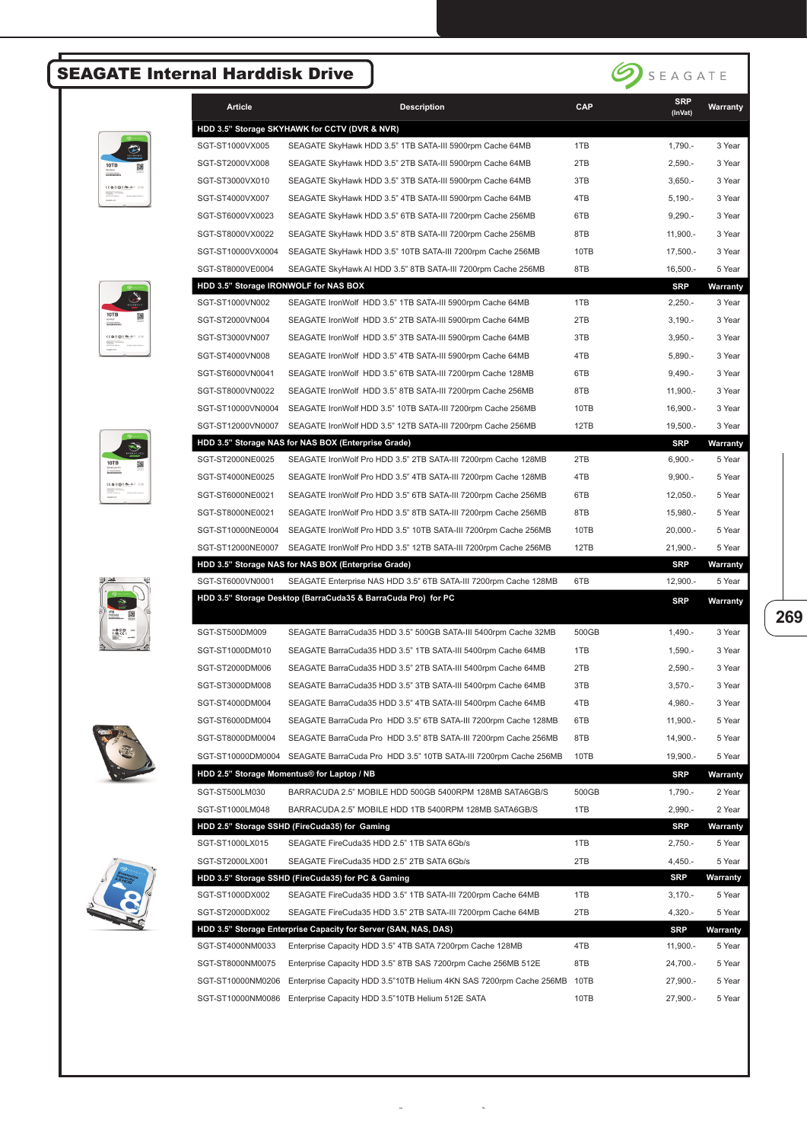## SEAGATE Internal Harddisk Drive



| Article           | <b>Description</b>                                                                                                                | <b>CAP</b> | <b>SRP</b><br>(InVat) | Warranty           |
|-------------------|-----------------------------------------------------------------------------------------------------------------------------------|------------|-----------------------|--------------------|
|                   | HDD 3.5" Storage SKYHAWK for CCTV (DVR & NVR)                                                                                     |            |                       |                    |
| SGT-ST1000VX005   | SEAGATE SkyHawk HDD 3.5" 1TB SATA-III 5900rpm Cache 64MB                                                                          | 1TB        | $1,790. -$            | 3 Year             |
| SGT-ST2000VX008   | SEAGATE SkyHawk HDD 3.5" 2TB SATA-III 5900rpm Cache 64MB                                                                          | 2TB        | $2,590. -$            | 3 Year             |
| SGT-ST3000VX010   | SEAGATE SkyHawk HDD 3.5" 3TB SATA-III 5900rpm Cache 64MB                                                                          | 3TB        | $3,650. -$            | 3 Year             |
| SGT-ST4000VX007   | SEAGATE SkyHawk HDD 3.5" 4TB SATA-III 5900rpm Cache 64MB                                                                          | 4TB        | $5,190. -$            | 3 Year             |
| SGT-ST6000VX0023  | SEAGATE SkyHawk HDD 3.5" 6TB SATA-III 7200rpm Cache 256MB                                                                         | 6TB        | $9,290. -$            | 3 Year             |
| SGT-ST8000VX0022  | SEAGATE SkyHawk HDD 3.5" 8TB SATA-III 7200rpm Cache 256MB                                                                         | 8TB        | $11,900. -$           | 3 Year             |
| SGT-ST10000VX0004 | SEAGATE SkyHawk HDD 3.5" 10TB SATA-III 7200rpm Cache 256MB                                                                        | 10TB       | $17,500. -$           | 3 Year             |
| SGT-ST8000VE0004  | SEAGATE SkyHawk AI HDD 3.5" 8TB SATA-III 7200rpm Cache 256MB                                                                      | 8TB        | $16,500. -$           | 5 Year             |
|                   | HDD 3.5" Storage IRONWOLF for NAS BOX                                                                                             |            | <b>SRP</b>            | Warranty           |
| SGT-ST1000VN002   | SEAGATE IronWolf HDD 3.5" 1TB SATA-III 5900rpm Cache 64MB                                                                         | 1TB        | $2,250. -$            | 3 Year             |
| SGT-ST2000VN004   | SEAGATE IronWolf HDD 3.5" 2TB SATA-III 5900rpm Cache 64MB                                                                         | 2TB        | $3,190. -$            | 3 Year             |
| SGT-ST3000VN007   | SEAGATE IronWolf HDD 3.5" 3TB SATA-III 5900rpm Cache 64MB                                                                         | 3TB        | $3,950. -$            | 3 Year             |
| SGT-ST4000VN008   | SEAGATE IronWolf HDD 3.5" 4TB SATA-III 5900rpm Cache 64MB                                                                         | 4TB        | $5,890. -$            | 3 Year             |
| SGT-ST6000VN0041  | SEAGATE IronWolf HDD 3.5" 6TB SATA-III 7200rpm Cache 128MB                                                                        | 6TB        | $9,490. -$            | 3 Year             |
| SGT-ST8000VN0022  | SEAGATE IronWolf HDD 3.5" 8TB SATA-III 7200rpm Cache 256MB                                                                        | 8TB        | 11,900.-              | 3 Year             |
| SGT-ST10000VN0004 | SEAGATE IronWolf HDD 3.5" 10TB SATA-III 7200rpm Cache 256MB                                                                       | 10TB       | 16,900.-              | 3 Year             |
| SGT-ST12000VN0007 | SEAGATE IronWolf HDD 3.5" 12TB SATA-III 7200rpm Cache 256MB                                                                       |            |                       |                    |
|                   |                                                                                                                                   | 12TB       | 19,500.<br><b>SRP</b> | 3 Year             |
| SGT-ST2000NE0025  | HDD 3.5" Storage NAS for NAS BOX (Enterprise Grade)<br>SEAGATE IronWolf Pro HDD 3.5" 2TB SATA-III 7200rpm Cache 128MB             | 2TB        | $6,900. -$            | Warranty<br>5 Year |
|                   |                                                                                                                                   |            |                       |                    |
| SGT-ST4000NE0025  | SEAGATE IronWolf Pro HDD 3.5" 4TB SATA-III 7200rpm Cache 128MB                                                                    | 4TB        | $9,900 -$             | 5 Year             |
| SGT-ST6000NE0021  | SEAGATE IronWolf Pro HDD 3.5" 6TB SATA-III 7200rpm Cache 256MB                                                                    | 6TB        | $12,050. -$           | 5 Year             |
| SGT-ST8000NE0021  | SEAGATE IronWolf Pro HDD 3.5" 8TB SATA-III 7200rpm Cache 256MB                                                                    | 8TB        | 15,980.-              | 5 Year             |
| SGT-ST10000NE0004 | SEAGATE IronWolf Pro HDD 3.5" 10TB SATA-III 7200rpm Cache 256MB                                                                   | 10TB       | $20,000. -$           | 5 Year             |
| SGT-ST12000NE0007 | SEAGATE IronWolf Pro HDD 3.5" 12TB SATA-III 7200rpm Cache 256MB                                                                   | 12TB       | 21,900.-              | 5 Year             |
| SGT-ST6000VN0001  | HDD 3.5" Storage NAS for NAS BOX (Enterprise Grade)                                                                               | 6TB        | <b>SRP</b>            | Warranty           |
|                   | SEAGATE Enterprise NAS HDD 3.5" 6TB SATA-III 7200rpm Cache 128MB<br>HDD 3.5" Storage Desktop (BarraCuda35 & BarraCuda Pro) for PC |            | 12,900.               | 5 Year             |
|                   |                                                                                                                                   |            | <b>SRP</b>            | Warranty           |
| SGT-ST500DM009    | SEAGATE BarraCuda35 HDD 3.5" 500GB SATA-III 5400rpm Cache 32MB                                                                    | 500GB      | $1,490. -$            | 3 Year             |
| SGT-ST1000DM010   | SEAGATE BarraCuda35 HDD 3.5" 1TB SATA-III 5400rpm Cache 64MB                                                                      | 1TB        | $1,590. -$            | 3 Year             |
| SGT-ST2000DM006   | SEAGATE BarraCuda35 HDD 3.5" 2TB SATA-III 5400rpm Cache 64MB                                                                      | 2TB        | $2,590. -$            | 3 Year             |
| SGT-ST3000DM008   | SEAGATE BarraCuda35 HDD 3.5" 3TB SATA-III 5400rpm Cache 64MB                                                                      | 3TB        | $3,570. -$            | 3 Year             |
| SGT-ST4000DM004   | SEAGATE BarraCuda35 HDD 3.5" 4TB SATA-III 5400rpm Cache 64MB                                                                      | 4TB        | 4,980.-               | 3 Year             |
| SGT-ST6000DM004   | SEAGATE BarraCuda Pro HDD 3.5" 6TB SATA-III 7200rpm Cache 128MB                                                                   | 6TB        | 11,900.-              |                    |
| SGT-ST8000DM0004  |                                                                                                                                   |            |                       | 5 Year             |
|                   | SEAGATE BarraCuda Pro HDD 3.5" 8TB SATA-III 7200rpm Cache 256MB                                                                   | 8TB        | 14,900.-<br>19.900 .- | 5 Year             |
| SGT-ST10000DM0004 | SEAGATE BarraCuda Pro HDD 3.5" 10TB SATA-III 7200rpm Cache 256MB                                                                  | 10TB       |                       | 5 Year             |
|                   | HDD 2.5" Storage Momentus® for Laptop / NB                                                                                        |            | <b>SRP</b>            | Warranty           |
| SGT-ST500LM030    | BARRACUDA 2.5" MOBILE HDD 500GB 5400RPM 128MB SATA6GB/S                                                                           | 500GB      | $1,790. -$            | 2 Year             |
| SGT-ST1000LM048   | BARRACUDA 2.5" MOBILE HDD 1TB 5400RPM 128MB SATA6GB/S                                                                             | 1TB        | $2,990. -$            | 2 Year             |
|                   | HDD 2.5" Storage SSHD (FireCuda35) for Gaming                                                                                     |            | <b>SRP</b>            | Warranty           |
| SGT-ST1000LX015   | SEAGATE FireCuda35 HDD 2.5" 1TB SATA 6Gb/s                                                                                        | 1TB        | $2,750. -$            | 5 Year             |
| SGT-ST2000LX001   | SEAGATE FireCuda35 HDD 2.5" 2TB SATA 6Gb/s                                                                                        | 2TB        | $4,450. -$            | 5 Year             |
|                   | HDD 3.5" Storage SSHD (FireCuda35) for PC & Gaming                                                                                |            | <b>SRP</b>            | Warranty           |
| SGT-ST1000DX002   | SEAGATE FireCuda35 HDD 3.5" 1TB SATA-III 7200rpm Cache 64MB                                                                       | 1TB        | $3,170. -$            | 5 Year             |
| SGT-ST2000DX002   | SEAGATE FireCuda35 HDD 3.5" 2TB SATA-III 7200rpm Cache 64MB                                                                       | 2TB        | $4,320. -$            | 5 Year             |
|                   | HDD 3.5" Storage Enterprise Capacity for Server (SAN, NAS, DAS)                                                                   |            | <b>SRP</b>            | Warranty           |
| SGT-ST4000NM0033  | Enterprise Capacity HDD 3.5" 4TB SATA 7200rpm Cache 128MB                                                                         | 4TB        | $11,900. -$           | 5 Year             |
| SGT-ST8000NM0075  | Enterprise Capacity HDD 3.5" 8TB SAS 7200rpm Cache 256MB 512E                                                                     | 8TB        | 24,700.-              | 5 Year             |
| SGT-ST10000NM0206 | Enterprise Capacity HDD 3.5"10TB Helium 4KN SAS 7200rpm Cache 256MB                                                               | 10TB       | 27,900.-              | 5 Year             |
|                   | SGT-ST10000NM0086 Enterprise Capacity HDD 3.5"10TB Helium 512E SATA                                                               | 10TB       | 27,900.-              | 5 Year             |

ิ ้

**269**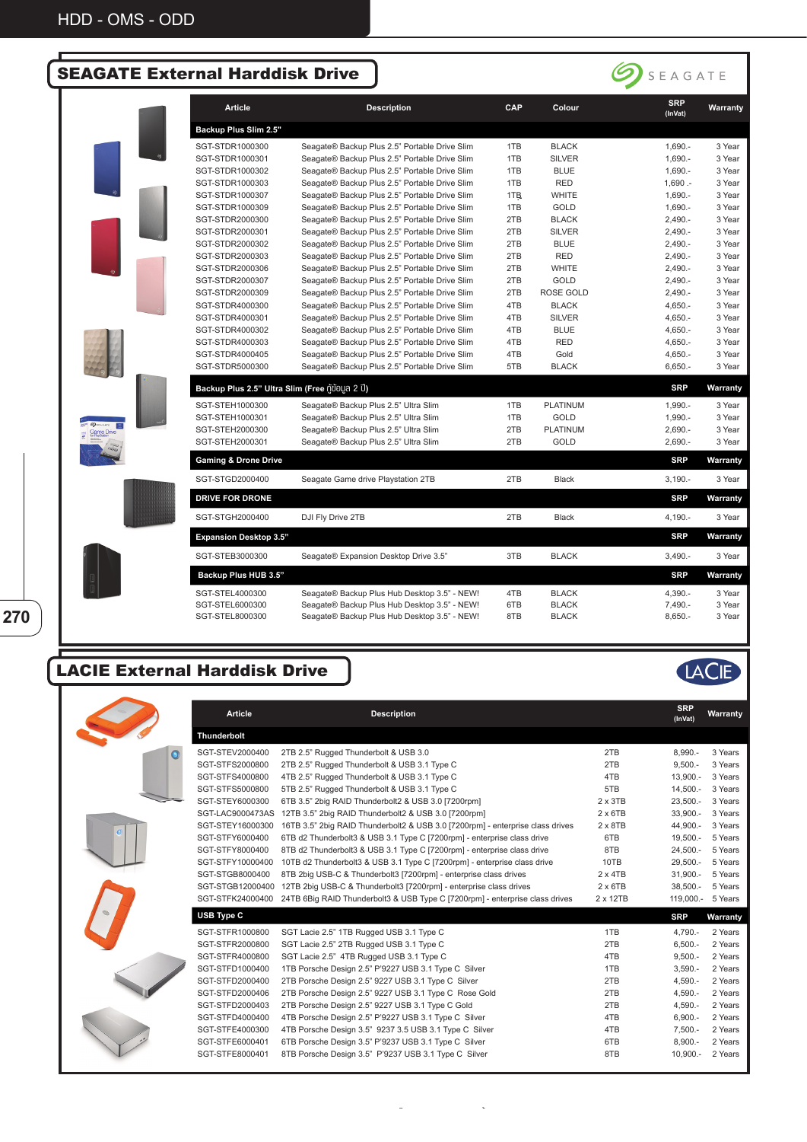## SEAGATE External Harddisk Drive



|                               | Article                                      | <b>Description</b>                            | CAP | Colour           | <b>SRP</b><br>(InVat) | Warranty |
|-------------------------------|----------------------------------------------|-----------------------------------------------|-----|------------------|-----------------------|----------|
|                               | Backup Plus Slim 2.5"                        |                                               |     |                  |                       |          |
|                               | SGT-STDR1000300                              | Seagate® Backup Plus 2.5" Portable Drive Slim | 1TB | <b>BLACK</b>     | 1,690.-               | 3 Year   |
|                               | SGT-STDR1000301                              | Seagate® Backup Plus 2.5" Portable Drive Slim | 1TB | <b>SILVER</b>    | 1,690.-               | 3 Year   |
|                               | SGT-STDR1000302                              | Seagate® Backup Plus 2.5" Portable Drive Slim | 1TB | <b>BLUE</b>      | 1,690.-               | 3 Year   |
|                               | SGT-STDR1000303                              | Seagate® Backup Plus 2.5" Portable Drive Slim | 1TB | <b>RED</b>       | $1,690 -$             | 3 Year   |
|                               | SGT-STDR1000307                              | Seagate® Backup Plus 2.5" Portable Drive Slim | 1TB | <b>WHITE</b>     | $1,690. -$            | 3 Year   |
|                               | SGT-STDR1000309                              | Seagate® Backup Plus 2.5" Portable Drive Slim | 1TB | <b>GOLD</b>      | $1,690. -$            | 3 Year   |
|                               | SGT-STDR2000300                              | Seagate® Backup Plus 2.5" Portable Drive Slim | 2TB | <b>BLACK</b>     | $2,490. -$            | 3 Year   |
|                               | SGT-STDR2000301                              | Seagate® Backup Plus 2.5" Portable Drive Slim | 2TB | <b>SILVER</b>    | $2,490. -$            | 3 Year   |
|                               | SGT-STDR2000302                              | Seagate® Backup Plus 2.5" Portable Drive Slim | 2TB | <b>BLUE</b>      | $2,490. -$            | 3 Year   |
|                               | SGT-STDR2000303                              | Seagate® Backup Plus 2.5" Portable Drive Slim | 2TB | <b>RED</b>       | $2,490. -$            | 3 Year   |
|                               | SGT-STDR2000306                              | Seagate® Backup Plus 2.5" Portable Drive Slim | 2TB | <b>WHITE</b>     | $2,490. -$            | 3 Year   |
|                               | SGT-STDR2000307                              | Seagate® Backup Plus 2.5" Portable Drive Slim | 2TB | <b>GOLD</b>      | $2,490. -$            | 3 Year   |
|                               | SGT-STDR2000309                              | Seagate® Backup Plus 2.5" Portable Drive Slim | 2TB | <b>ROSE GOLD</b> | $2,490. -$            | 3 Year   |
|                               | SGT-STDR4000300                              | Seagate® Backup Plus 2.5" Portable Drive Slim | 4TB | <b>BLACK</b>     | $4,650. -$            | 3 Year   |
|                               | SGT-STDR4000301                              | Seagate® Backup Plus 2.5" Portable Drive Slim | 4TB | <b>SILVER</b>    | $4,650. -$            | 3 Year   |
|                               | SGT-STDR4000302                              | Seagate® Backup Plus 2.5" Portable Drive Slim | 4TB | <b>BLUE</b>      | $4,650. -$            | 3 Year   |
|                               | SGT-STDR4000303                              | Seagate® Backup Plus 2.5" Portable Drive Slim | 4TB | <b>RED</b>       | $4,650. -$            | 3 Year   |
|                               | SGT-STDR4000405                              | Seagate® Backup Plus 2.5" Portable Drive Slim | 4TB | Gold             | $4,650. -$            | 3 Year   |
|                               | SGT-STDR5000300                              | Seagate® Backup Plus 2.5" Portable Drive Slim | 5TB | <b>BLACK</b>     | $6,650. -$            | 3 Year   |
|                               | Backup Plus 2.5" Ultra Slim (Free nooua 2 U) |                                               |     |                  | <b>SRP</b>            | Warranty |
|                               | SGT-STEH1000300                              | Seagate® Backup Plus 2.5" Ultra Slim          | 1TB | <b>PLATINUM</b>  | $1.990 -$             | 3 Year   |
|                               | SGT-STEH1000301                              | Seagate® Backup Plus 2.5" Ultra Slim          | 1TB | GOLD             | $1,990. -$            | 3 Year   |
| <b>OSEASATE</b><br>Game Drive | SGT-STEH2000300                              | Seagate® Backup Plus 2.5" Ultra Slim          | 2TB | PLATINUM         | $2,690. -$            | 3 Year   |
|                               | SGT-STEH2000301                              | Seagate® Backup Plus 2.5" Ultra Slim          | 2TB | GOLD             | $2,690. -$            | 3 Year   |
|                               | <b>Gaming &amp; Drone Drive</b>              |                                               |     |                  | <b>SRP</b>            | Warranty |
|                               | SGT-STGD2000400                              | Seagate Game drive Playstation 2TB            | 2TB | Black            | $3,190. -$            | 3 Year   |
|                               | <b>DRIVE FOR DRONE</b>                       |                                               |     |                  | <b>SRP</b>            | Warranty |
|                               | SGT-STGH2000400                              | DJI Fly Drive 2TB                             | 2TB | <b>Black</b>     | $4.190 -$             | 3 Year   |
|                               | <b>Expansion Desktop 3.5"</b>                |                                               |     |                  | <b>SRP</b>            | Warranty |
|                               | SGT-STEB3000300                              | Seagate® Expansion Desktop Drive 3.5"         | 3TB | <b>BLACK</b>     | $3,490. -$            | 3 Year   |
|                               | Backup Plus HUB 3.5"                         |                                               |     |                  | <b>SRP</b>            | Warranty |
|                               | SGT-STEL4000300                              | Seagate® Backup Plus Hub Desktop 3.5" - NEW!  | 4TB | <b>BLACK</b>     | 4,390.-               | 3 Year   |
|                               | SGT-STEL6000300                              | Seagate® Backup Plus Hub Desktop 3.5" - NEW!  | 6TB | <b>BLACK</b>     | 7,490.-               | 3 Year   |
|                               | SGT-STEL8000300                              | Seagate® Backup Plus Hub Desktop 3.5" - NEW!  | 8TB | <b>BLACK</b>     | $8,650. -$            | 3 Year   |

## LACIE External Harddisk Drive

**270**



|    | Article          | <b>Description</b>                                                             |                 | <b>SRP</b><br>(InVat) | Warranty |
|----|------------------|--------------------------------------------------------------------------------|-----------------|-----------------------|----------|
|    | Thunderbolt      |                                                                                |                 |                       |          |
|    | SGT-STEV2000400  | 2TB 2.5" Rugged Thunderbolt & USB 3.0                                          | 2TB             | $8.990 -$             | 3 Years  |
|    | SGT-STFS2000800  | 2TB 2.5" Rugged Thunderbolt & USB 3.1 Type C                                   | 2TB             | $9,500. -$            | 3 Years  |
|    | SGT-STFS4000800  | 4TB 2.5" Rugged Thunderbolt & USB 3.1 Type C                                   | 4TB             | 13,900.-              | 3 Years  |
|    | SGT-STFS5000800  | 5TB 2.5" Rugged Thunderbolt & USB 3.1 Type C                                   | 5TB             | $14,500. -$           | 3 Years  |
|    | SGT-STEY6000300  | 6TB 3.5" 2big RAID Thunderbolt2 & USB 3.0 [7200rpm]                            | $2 \times 3TB$  | $23,500. -$           | 3 Years  |
|    | SGT-LAC9000473AS | 12TB 3.5" 2big RAID Thunderbolt2 & USB 3.0 [7200rpm]                           | $2 \times 6$ TB | 33,900.-              | 3 Years  |
|    | SGT-STEY16000300 | 16TB 3.5" 2big RAID Thunderbolt2 & USB 3.0 [7200rpm] - enterprise class drives | $2 \times 8$ TB | 44.900.-              | 3 Years  |
|    | SGT-STFY6000400  | 6TB d2 Thunderbolt3 & USB 3.1 Type C [7200rpm] - enterprise class drive        | 6TB             | 19,500.-              | 5 Years  |
|    | SGT-STFY8000400  | 8TB d2 Thunderbolt3 & USB 3.1 Type C [7200rpm] - enterprise class drive        | 8TB             | $24,500. -$           | 5 Years  |
|    | SGT-STFY10000400 | 10TB d2 Thunderbolt3 & USB 3.1 Type C [7200rpm] - enterprise class drive       | 10TB            | 29,500.-              | 5 Years  |
|    | SGT-STGB8000400  | 8TB 2big USB-C & Thunderbolt3 [7200rpm] - enterprise class drives              | $2 \times 4TB$  | $31,900. -$           | 5 Years  |
|    | SGT-STGB12000400 | 12TB 2big USB-C & Thunderbolt3 [7200rpm] - enterprise class drives             | $2 \times 6$ TB | $38,500. -$           | 5 Years  |
|    | SGT-STFK24000400 | 24TB 6Big RAID Thunderbolt3 & USB Type C [7200rpm] - enterprise class drives   | 2 x 12TB        | 119,000.-             | 5 Years  |
| O. | USB Type C       |                                                                                |                 | <b>SRP</b>            | Warranty |
|    | SGT-STFR1000800  | SGT Lacie 2.5" 1TB Rugged USB 3.1 Type C                                       | 1TB             | 4,790.-               | 2 Years  |
|    | SGT-STFR2000800  | SGT Lacie 2.5" 2TB Rugged USB 3.1 Type C                                       | 2TB             | $6,500. -$            | 2 Years  |
|    | SGT-STFR4000800  | SGT Lacie 2.5" 4TB Rugged USB 3.1 Type C                                       | 4TB             | $9,500 -$             | 2 Years  |
|    | SGT-STFD1000400  | 1TB Porsche Design 2.5" P'9227 USB 3.1 Type C Silver                           | 1TB             | $3,590. -$            | 2 Years  |
|    | SGT-STFD2000400  | 2TB Porsche Design 2.5" 9227 USB 3.1 Type C Silver                             | 2TB             | $4,590. -$            | 2 Years  |
|    | SGT-STFD2000406  | 2TB Porsche Design 2.5" 9227 USB 3.1 Type C Rose Gold                          | 2TB             | $4,590. -$            | 2 Years  |
|    | SGT-STFD2000403  | 2TB Porsche Design 2.5" 9227 USB 3.1 Type C Gold                               | 2TB             | $4,590. -$            | 2 Years  |
|    | SGT-STFD4000400  | 4TB Porsche Design 2.5" P'9227 USB 3.1 Type C Silver                           | 4TB             | $6,900.-$             | 2 Years  |
|    | SGT-STFE4000300  | 4TB Porsche Design 3.5" 9237 3.5 USB 3.1 Type C Silver                         | 4TB             | $7,500.-$             | 2 Years  |
|    | SGT-STFE6000401  | 6TB Porsche Design 3.5" P'9237 USB 3.1 Type C Silver                           | 6TB             | $8,900.-$             | 2 Years  |
|    | SGT-STFE8000401  | 8TB Porsche Design 3.5" P'9237 USB 3.1 Type C Silver                           | 8TB             | $10,900. -$           | 2 Years  |

ิ ้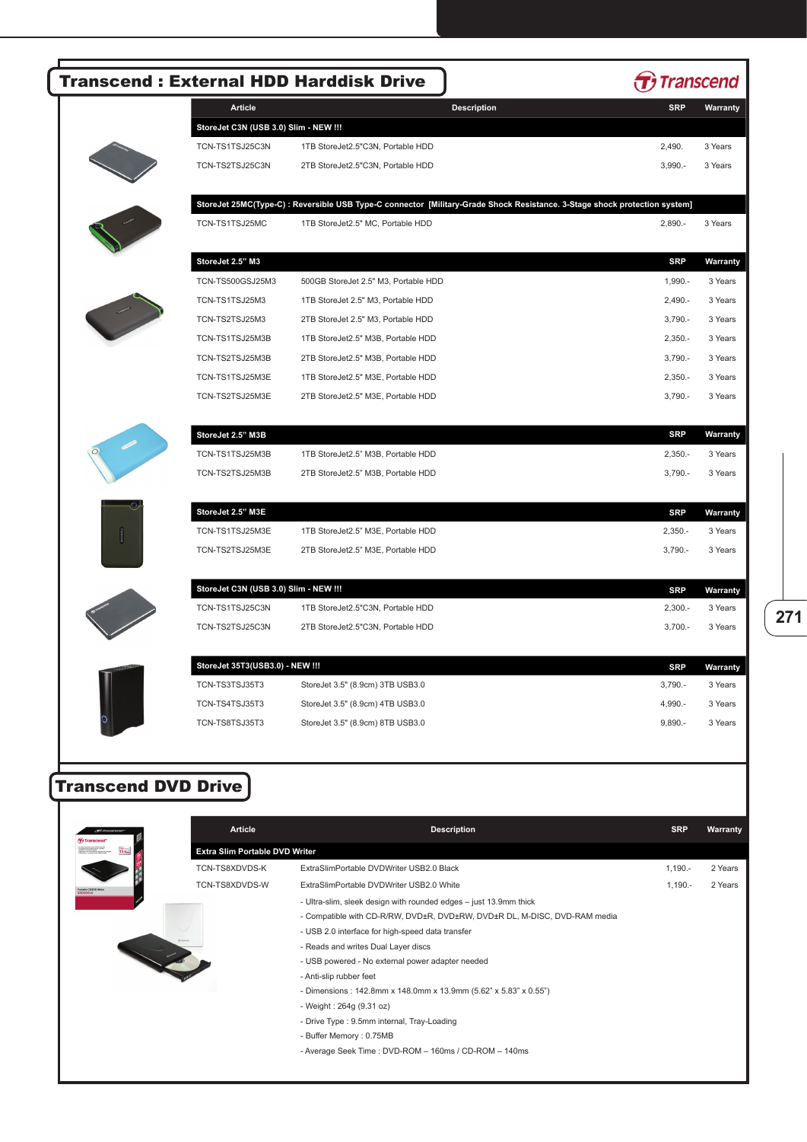|                            |                                                  | <b>Transcend: External HDD Harddisk Drive</b>                                                                                 |            | <b>Transcend</b> |
|----------------------------|--------------------------------------------------|-------------------------------------------------------------------------------------------------------------------------------|------------|------------------|
|                            | <b>Article</b>                                   | <b>Description</b>                                                                                                            | <b>SRP</b> | Warranty         |
|                            | StoreJet C3N (USB 3.0) Slim - NEW !!!            |                                                                                                                               |            |                  |
|                            | TCN-TS1TSJ25C3N                                  | 1TB StoreJet2.5"C3N, Portable HDD                                                                                             | 2,490.     | 3 Years          |
|                            | TCN-TS2TSJ25C3N                                  | 2TB StoreJet2.5"C3N, Portable HDD                                                                                             | $3,990. -$ | 3 Years          |
|                            |                                                  | StoreJet 25MC(Type-C) : Reversible USB Type-C connector [Military-Grade Shock Resistance. 3-Stage shock protection system]    |            |                  |
|                            | TCN-TS1TSJ25MC                                   | 1TB StoreJet2.5" MC, Portable HDD                                                                                             | $2,890. -$ | 3 Years          |
|                            | StoreJet 2.5" M3                                 |                                                                                                                               | <b>SRP</b> | Warranty         |
|                            | TCN-TS500GSJ25M3                                 | 500GB StoreJet 2.5" M3, Portable HDD                                                                                          | $1,990. -$ | 3 Years          |
|                            | TCN-TS1TSJ25M3                                   | 1TB StoreJet 2.5" M3, Portable HDD                                                                                            | $2,490. -$ | 3 Years          |
|                            | TCN-TS2TSJ25M3                                   | 2TB StoreJet 2.5" M3, Portable HDD                                                                                            | $3,790. -$ | 3 Years          |
|                            | TCN-TS1TSJ25M3B                                  | 1TB StoreJet2.5" M3B, Portable HDD                                                                                            | $2,350. -$ | 3 Years          |
|                            | TCN-TS2TSJ25M3B                                  | 2TB StoreJet2.5" M3B, Portable HDD                                                                                            | $3,790. -$ | 3 Years          |
|                            | TCN-TS1TSJ25M3E                                  | 1TB StoreJet2.5" M3E, Portable HDD                                                                                            | $2,350. -$ | 3 Years          |
|                            | TCN-TS2TSJ25M3E                                  | 2TB StoreJet2.5" M3E, Portable HDD                                                                                            | $3,790. -$ | 3 Years          |
|                            | StoreJet 2.5" M3B                                |                                                                                                                               | <b>SRP</b> | <b>Warranty</b>  |
|                            | TCN-TS1TSJ25M3B                                  | 1TB StoreJet2.5" M3B, Portable HDD                                                                                            | $2,350. -$ | 3 Years          |
|                            | TCN-TS2TSJ25M3B                                  | 2TB StoreJet2.5" M3B, Portable HDD                                                                                            | $3,790. -$ | 3 Years          |
|                            | StoreJet 2.5" M3E                                |                                                                                                                               | <b>SRP</b> | Warranty         |
|                            | TCN-TS1TSJ25M3E                                  | 1TB StoreJet2.5" M3E, Portable HDD                                                                                            | $2,350. -$ | 3 Years          |
|                            | TCN-TS2TSJ25M3E                                  | 2TB StoreJet2.5" M3E, Portable HDD                                                                                            | $3,790. -$ | 3 Years          |
|                            | StoreJet C3N (USB 3.0) Slim - NEW !!!            |                                                                                                                               | <b>SRP</b> | Warranty         |
|                            | TCN-TS1TSJ25C3N                                  | 1TB StoreJet2.5"C3N, Portable HDD                                                                                             | $2,300. -$ | 3 Years          |
|                            | TCN-TS2TSJ25C3N                                  | 2TB StoreJet2.5"C3N, Portable HDD                                                                                             | $3,700. -$ | 3 Years          |
|                            | StoreJet 35T3(USB3.0) - NEW !!!                  |                                                                                                                               | <b>SRP</b> | Warrant          |
|                            | TCN-TS3TSJ35T3                                   | StoreJet 3.5" (8.9cm) 3TB USB3.0                                                                                              | $3,790. -$ | 3 Years          |
|                            | TCN-TS4TSJ35T3                                   | StoreJet 3.5" (8.9cm) 4TB USB3.0                                                                                              | 4,990.-    | 3 Years          |
|                            | TCN-TS8TSJ35T3                                   | StoreJet 3.5" (8.9cm) 8TB USB3.0                                                                                              | $9,890. -$ | 3 Years          |
| <b>Transcend DVD Drive</b> |                                                  |                                                                                                                               |            |                  |
|                            | Article                                          | <b>Description</b>                                                                                                            | <b>SRP</b> | Warranty         |
|                            | Extra Slim Portable DVD Writer<br>TCN-TS8XDVDS-K | ExtraSlimPortable DVDWriter USB2.0 Black                                                                                      | $1,190. -$ | 2 Years          |
|                            | TCN-TS8XDVDS-W                                   | ExtraSlimPortable DVDWriter USB2.0 White                                                                                      | $1,190. -$ | 2 Years          |
|                            |                                                  | - Ultra-slim, sleek design with rounded edges - just 13.9mm thick                                                             |            |                  |
|                            |                                                  | - Compatible with CD-R/RW, DVD±R, DVD±RW, DVD±R DL, M-DISC, DVD-RAM media<br>- USB 2.0 interface for high-speed data transfer |            |                  |
|                            |                                                  | - Reads and writes Dual Layer discs                                                                                           |            |                  |
|                            |                                                  | - USB powered - No external power adapter needed                                                                              |            |                  |
|                            |                                                  | - Anti-slip rubber feet                                                                                                       |            |                  |
|                            |                                                  | - Dimensions: 142.8mm x 148.0mm x 13.9mm (5.62" x 5.83" x 0.55")                                                              |            |                  |
|                            |                                                  |                                                                                                                               |            |                  |
|                            |                                                  | - Weight: 264g (9.31 oz)<br>- Drive Type : 9.5mm internal, Tray-Loading<br>- Buffer Memory: 0.75MB                            |            |                  |

**271**